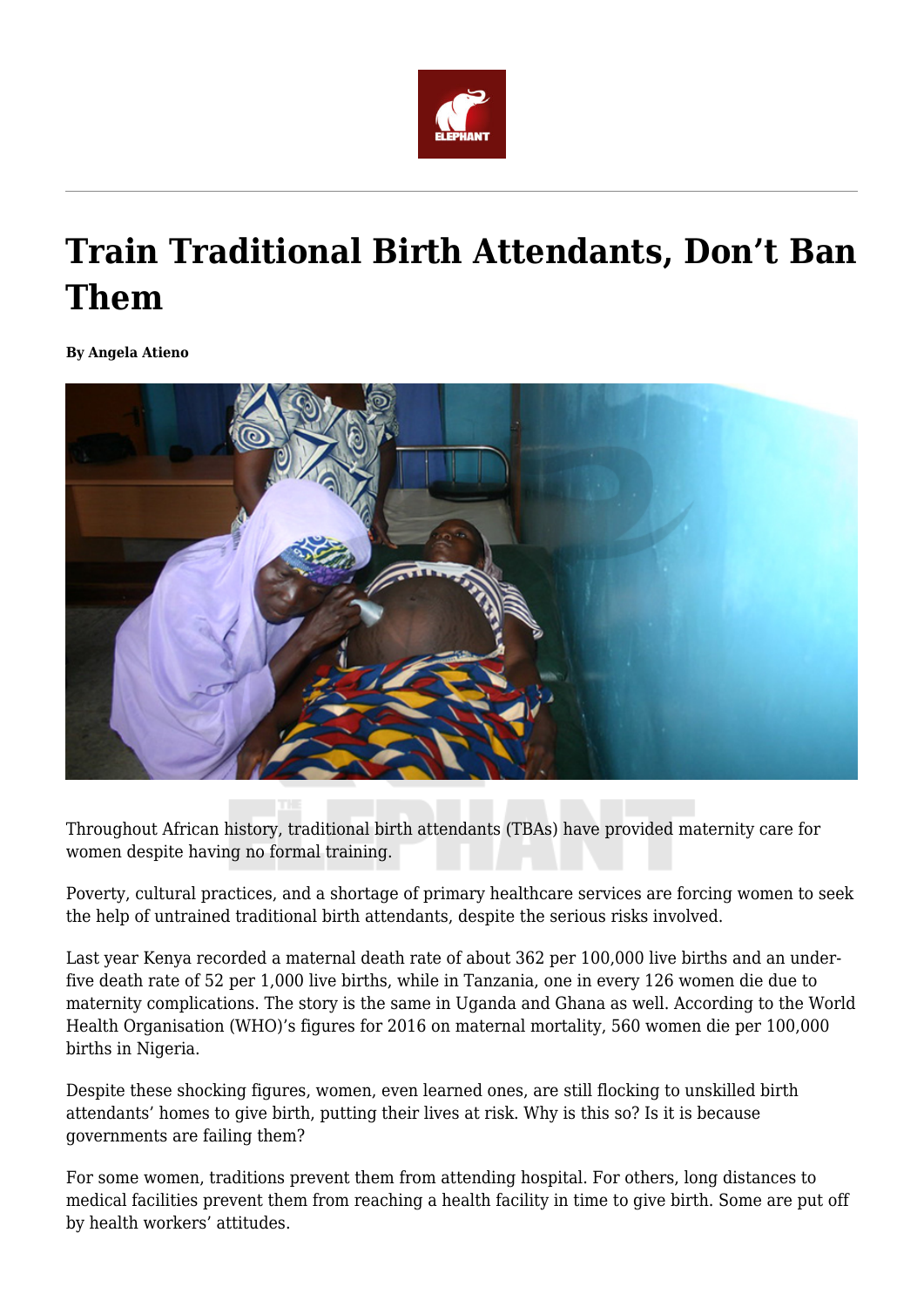

# **Train Traditional Birth Attendants, Don't Ban Them**

**By Angela Atieno**



Throughout African history, traditional birth attendants (TBAs) have provided maternity care for women despite having no formal training.

Poverty, cultural practices, and a shortage of primary healthcare services are forcing women to seek the help of untrained traditional birth attendants, despite the serious risks involved.

Last year Kenya recorded a maternal death rate of about 362 per 100,000 live births and an underfive death rate of 52 per 1,000 live births, while in Tanzania, one in every 126 women die due to maternity complications. The story is the same in Uganda and Ghana as well. According to the World Health Organisation (WHO)'s figures for 2016 on maternal mortality, 560 women die per 100,000 births in Nigeria.

Despite these shocking figures, women, even learned ones, are still flocking to unskilled birth attendants' homes to give birth, putting their lives at risk. Why is this so? Is it is because governments are failing them?

For some women, traditions prevent them from attending hospital. For others, long distances to medical facilities prevent them from reaching a health facility in time to give birth. Some are put off by health workers' attitudes.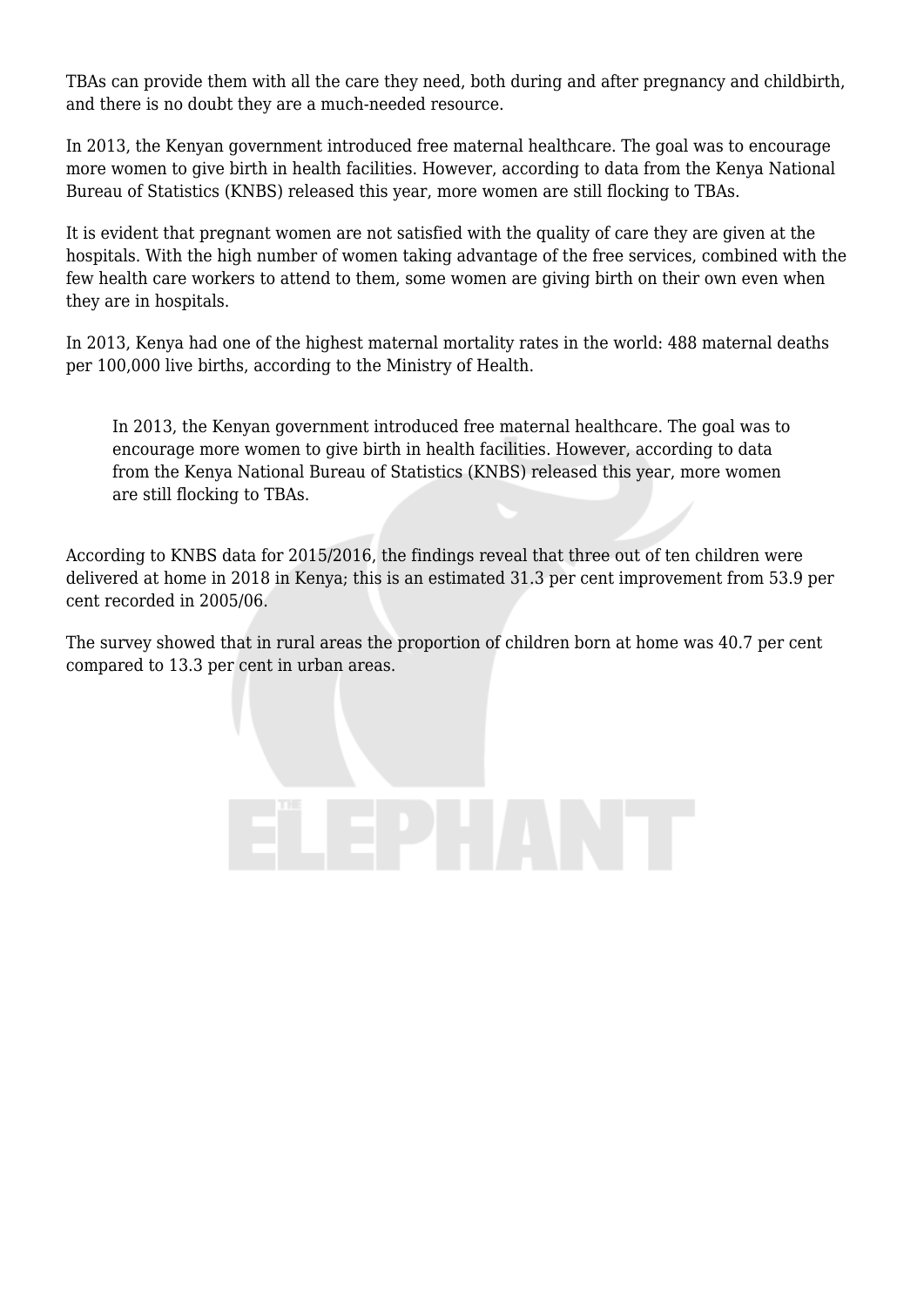TBAs can provide them with all the care they need, both during and after pregnancy and childbirth, and there is no doubt they are a much-needed resource.

In 2013, the Kenyan government introduced free maternal healthcare. The goal was to encourage more women to give birth in health facilities. However, according to data from the Kenya National Bureau of Statistics (KNBS) released this year, more women are still flocking to TBAs.

It is evident that pregnant women are not satisfied with the quality of care they are given at the hospitals. With the high number of women taking advantage of the free services, combined with the few health care workers to attend to them, some women are giving birth on their own even when they are in hospitals.

In 2013, Kenya had one of the highest maternal mortality rates in the world: 488 maternal deaths per 100,000 live births, according to the Ministry of Health.

In 2013, the Kenyan government introduced free maternal healthcare. The goal was to encourage more women to give birth in health facilities. However, according to data from the Kenya National Bureau of Statistics (KNBS) released this year, more women are still flocking to TBAs.

According to KNBS data for 2015/2016, the findings reveal that three out of ten children were delivered at home in 2018 in Kenya; this is an estimated 31.3 per cent improvement from 53.9 per cent recorded in 2005/06.

The survey showed that in rural areas the proportion of children born at home was 40.7 per cent compared to 13.3 per cent in urban areas.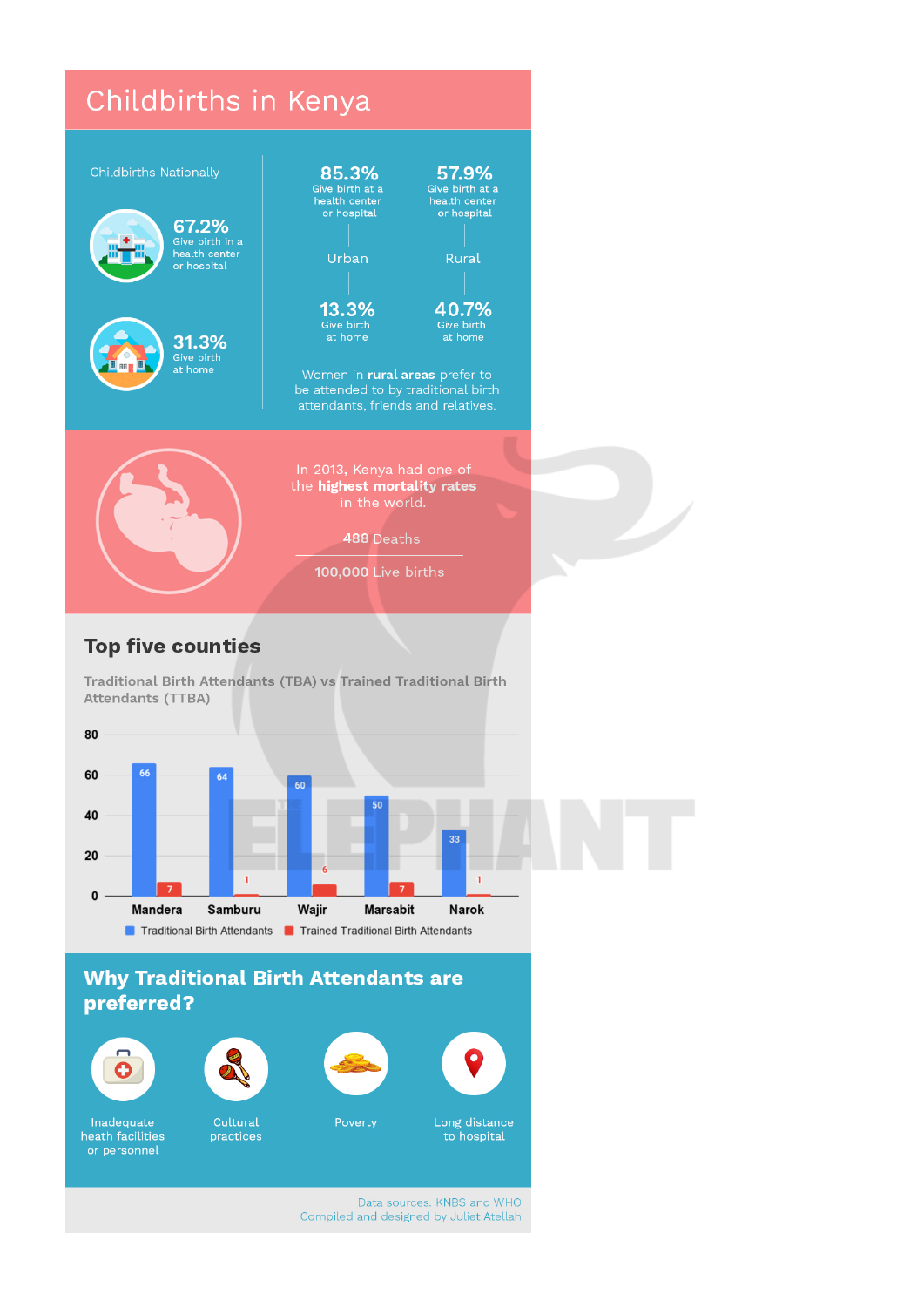

## **Top five counties**

Traditional Birth Attendants (TBA) vs Trained Traditional Birth Attendants (TTBA)



### **Why Traditional Birth Attendants are** preferred?



Inadequate

heath facilities

or personnel



Cultural

practices



Poverty



O

Data sources. KNBS and WHO Compiled and designed by Juliet Atellah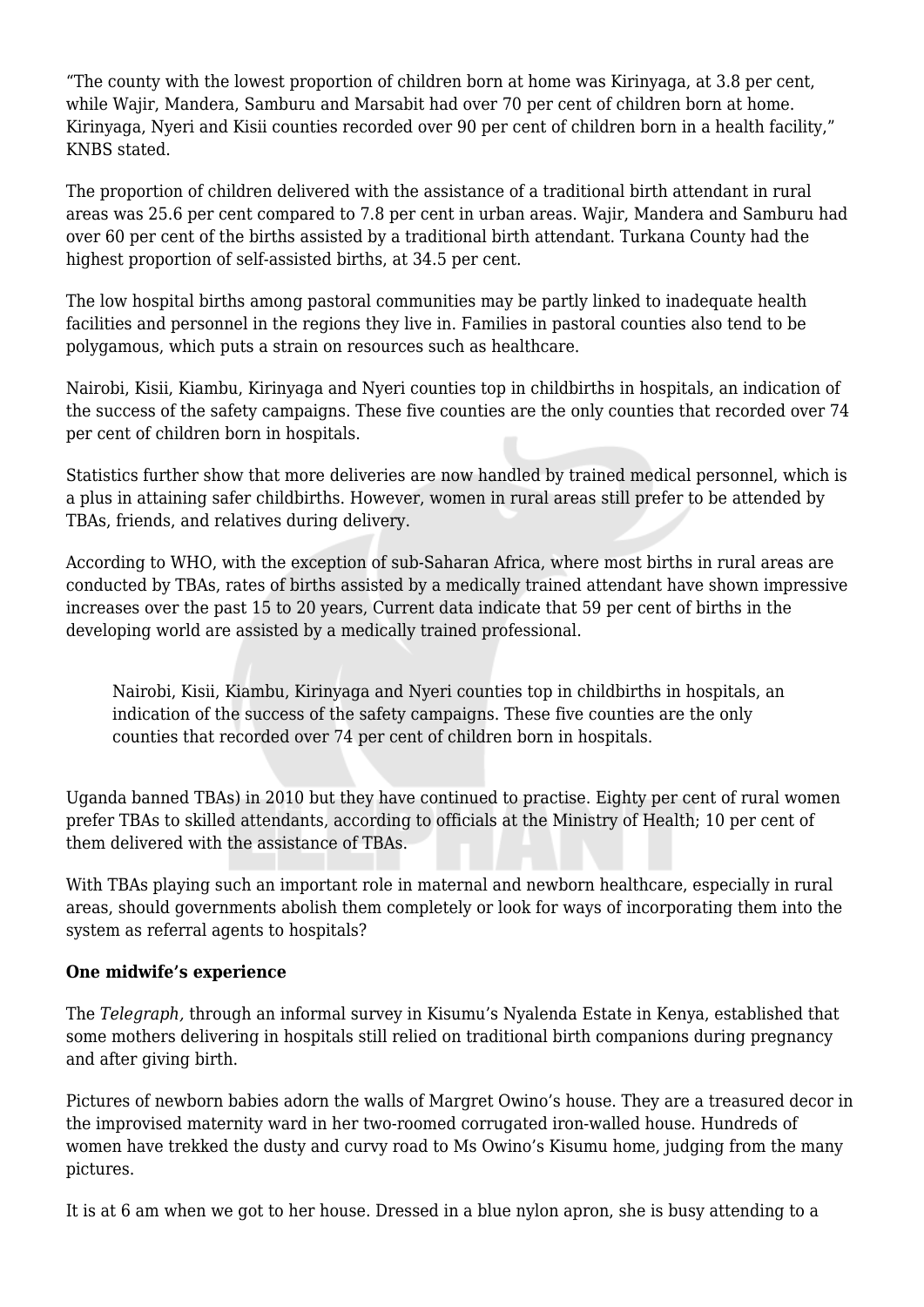"The county with the lowest proportion of children born at home was Kirinyaga, at 3.8 per cent, while Wajir, Mandera, Samburu and Marsabit had over 70 per cent of children born at home. Kirinyaga, Nyeri and Kisii counties recorded over 90 per cent of children born in a health facility," KNBS stated.

The proportion of children delivered with the assistance of a traditional birth attendant in rural areas was 25.6 per cent compared to 7.8 per cent in urban areas. Wajir, Mandera and Samburu had over 60 per cent of the births assisted by a traditional birth attendant. Turkana County had the highest proportion of self-assisted births, at 34.5 per cent.

The low hospital births among pastoral communities may be partly linked to inadequate health facilities and personnel in the regions they live in. Families in pastoral counties also tend to be polygamous, which puts a strain on resources such as healthcare.

Nairobi, Kisii, Kiambu, Kirinyaga and Nyeri counties top in childbirths in hospitals, an indication of the success of the safety campaigns. These five counties are the only counties that recorded over 74 per cent of children born in hospitals.

Statistics further show that more deliveries are now handled by trained medical personnel, which is a plus in attaining safer childbirths. However, women in rural areas still prefer to be attended by TBAs, friends, and relatives during delivery.

According to WHO, with the exception of sub-Saharan Africa, where most births in rural areas are conducted by TBAs, rates of births assisted by a medically trained attendant have shown impressive increases over the past 15 to 20 years, Current data indicate that 59 per cent of births in the developing world are assisted by a medically trained professional.

Nairobi, Kisii, Kiambu, Kirinyaga and Nyeri counties top in childbirths in hospitals, an indication of the success of the safety campaigns. These five counties are the only counties that recorded over 74 per cent of children born in hospitals.

Uganda banned TBAs) in 2010 but they have continued to practise. Eighty per cent of rural women prefer TBAs to skilled attendants, according to officials at the Ministry of Health; 10 per cent of them delivered with the assistance of TBAs.

With TBAs playing such an important role in maternal and newborn healthcare, especially in rural areas, should governments abolish them completely or look for ways of incorporating them into the system as referral agents to hospitals?

#### **One midwife's experience**

The *Telegraph,* through an informal survey in Kisumu's Nyalenda Estate in Kenya, established that some mothers delivering in hospitals still relied on traditional birth companions during pregnancy and after giving birth.

Pictures of newborn babies adorn the walls of Margret Owino's house. They are a treasured decor in the improvised maternity ward in her two-roomed corrugated iron-walled house. Hundreds of women have trekked the dusty and curvy road to Ms Owino's Kisumu home, judging from the many pictures.

It is at 6 am when we got to her house. Dressed in a blue nylon apron, she is busy attending to a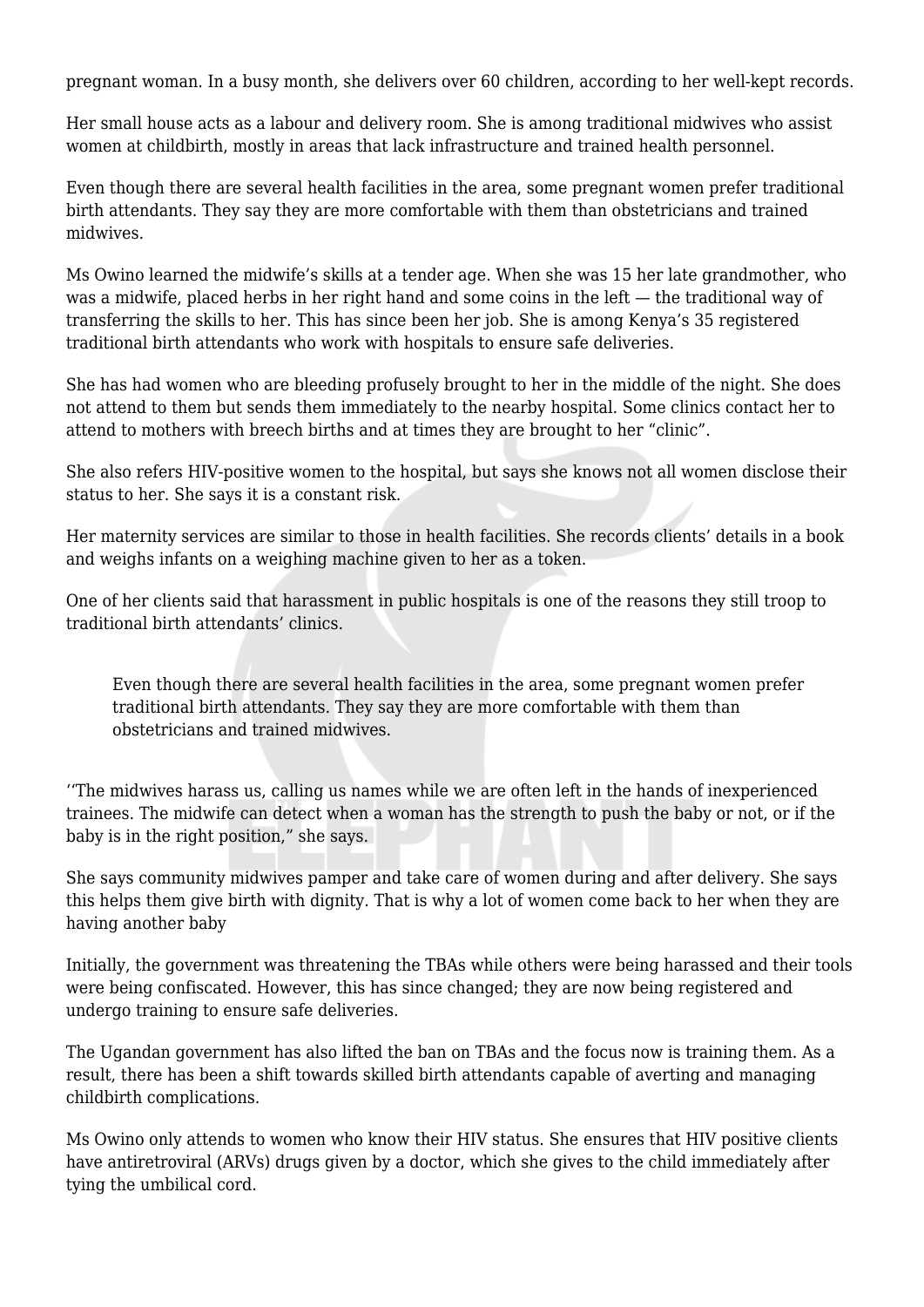pregnant woman. In a busy month, she delivers over 60 children, according to her well-kept records.

Her small house acts as a labour and delivery room. She is among traditional midwives who assist women at childbirth, mostly in areas that lack infrastructure and trained health personnel.

Even though there are several health facilities in the area, some pregnant women prefer traditional birth attendants. They say they are more comfortable with them than obstetricians and trained midwives.

Ms Owino learned the midwife's skills at a tender age. When she was 15 her late grandmother, who was a midwife, placed herbs in her right hand and some coins in the left — the traditional way of transferring the skills to her. This has since been her job. She is among Kenya's 35 registered traditional birth attendants who work with hospitals to ensure safe deliveries.

She has had women who are bleeding profusely brought to her in the middle of the night. She does not attend to them but sends them immediately to the nearby hospital. Some clinics contact her to attend to mothers with breech births and at times they are brought to her "clinic".

She also refers HIV-positive women to the hospital, but says she knows not all women disclose their status to her. She says it is a constant risk.

Her maternity services are similar to those in health facilities. She records clients' details in a book and weighs infants on a weighing machine given to her as a token.

One of her clients said that harassment in public hospitals is one of the reasons they still troop to traditional birth attendants' clinics.

Even though there are several health facilities in the area, some pregnant women prefer traditional birth attendants. They say they are more comfortable with them than obstetricians and trained midwives.

''The midwives harass us, calling us names while we are often left in the hands of inexperienced trainees. The midwife can detect when a woman has the strength to push the baby or not, or if the baby is in the right position," she says.

She says community midwives pamper and take care of women during and after delivery. She says this helps them give birth with dignity. That is why a lot of women come back to her when they are having another baby

Initially, the government was threatening the TBAs while others were being harassed and their tools were being confiscated. However, this has since changed; they are now being registered and undergo training to ensure safe deliveries.

The Ugandan government has also lifted the ban on TBAs and the focus now is training them. As a result, there has been a shift towards skilled birth attendants capable of averting and managing childbirth complications.

Ms Owino only attends to women who know their HIV status. She ensures that HIV positive clients have antiretroviral (ARVs) drugs given by a doctor, which she gives to the child immediately after tying the umbilical cord.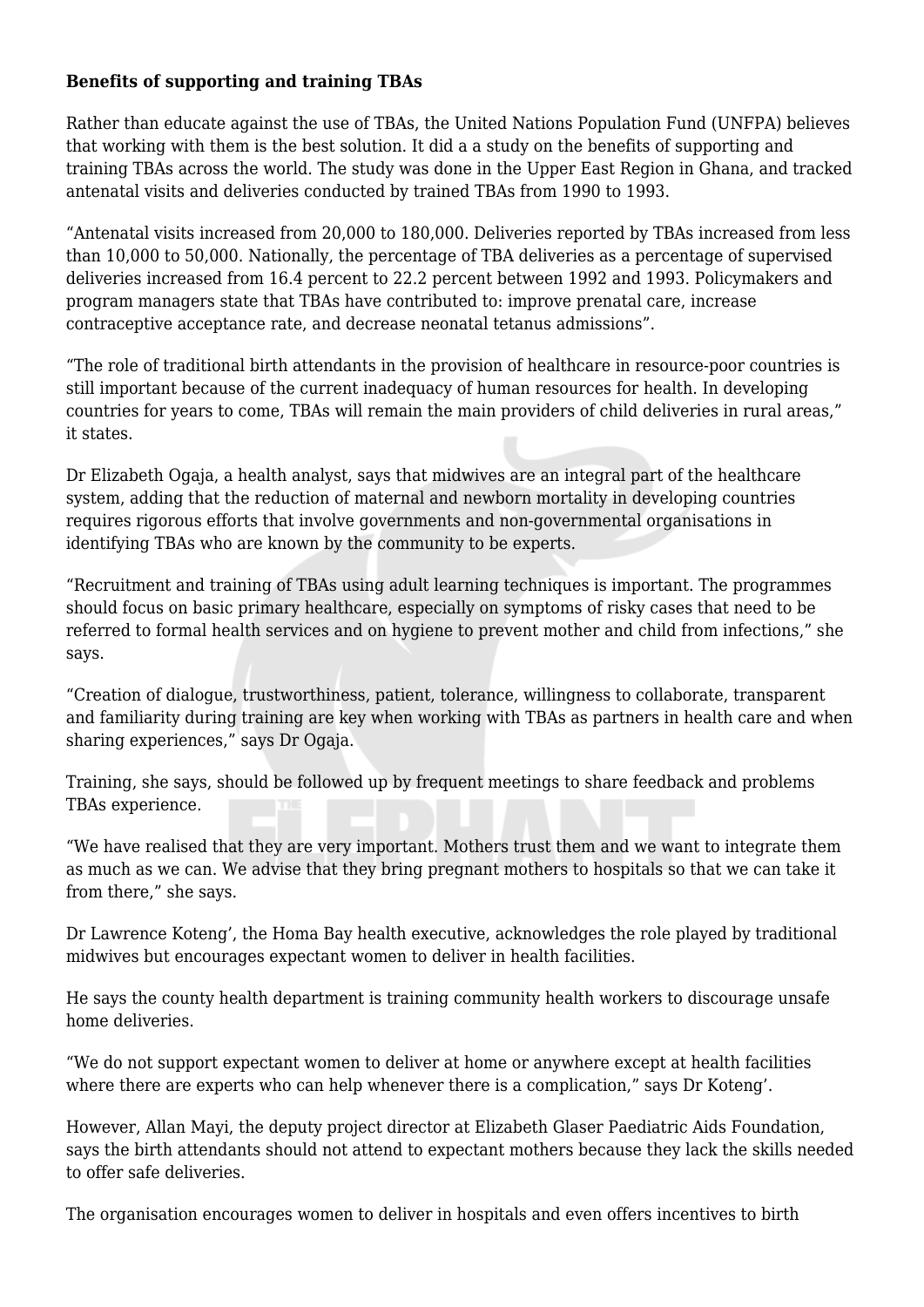#### **Benefits of supporting and training TBAs**

Rather than educate against the use of TBAs, the United Nations Population Fund (UNFPA) believes that working with them is the best solution. It did a a study on the benefits of supporting and training TBAs across the world. The study was done in the Upper East Region in Ghana, and tracked antenatal visits and deliveries conducted by trained TBAs from 1990 to 1993.

"Antenatal visits increased from 20,000 to 180,000. Deliveries reported by TBAs increased from less than 10,000 to 50,000. Nationally, the percentage of TBA deliveries as a percentage of supervised deliveries increased from 16.4 percent to 22.2 percent between 1992 and 1993. Policymakers and program managers state that TBAs have contributed to: improve prenatal care, increase contraceptive acceptance rate, and decrease neonatal tetanus admissions".

"The role of traditional birth attendants in the provision of healthcare in resource-poor countries is still important because of the current inadequacy of human resources for health. In developing countries for years to come, TBAs will remain the main providers of child deliveries in rural areas," it states.

Dr Elizabeth Ogaja, a health analyst, says that midwives are an integral part of the healthcare system, adding that the reduction of maternal and newborn mortality in developing countries requires rigorous efforts that involve governments and non-governmental organisations in identifying TBAs who are known by the community to be experts.

"Recruitment and training of TBAs using adult learning techniques is important. The programmes should focus on basic primary healthcare, especially on symptoms of risky cases that need to be referred to formal health services and on hygiene to prevent mother and child from infections," she says.

"Creation of dialogue, trustworthiness, patient, tolerance, willingness to collaborate, transparent and familiarity during training are key when working with TBAs as partners in health care and when sharing experiences," says Dr Ogaja.

Training, she says, should be followed up by frequent meetings to share feedback and problems TBAs experience.

"We have realised that they are very important. Mothers trust them and we want to integrate them as much as we can. We advise that they bring pregnant mothers to hospitals so that we can take it from there," she says.

Dr Lawrence Koteng', the Homa Bay health executive, acknowledges the role played by traditional midwives but encourages expectant women to deliver in health facilities.

He says the county health department is training community health workers to discourage unsafe home deliveries.

"We do not support expectant women to deliver at home or anywhere except at health facilities where there are experts who can help whenever there is a complication," says Dr Koteng'.

However, Allan Mayi, the deputy project director at Elizabeth Glaser Paediatric Aids Foundation, says the birth attendants should not attend to expectant mothers because they lack the skills needed to offer safe deliveries.

The organisation encourages women to deliver in hospitals and even offers incentives to birth